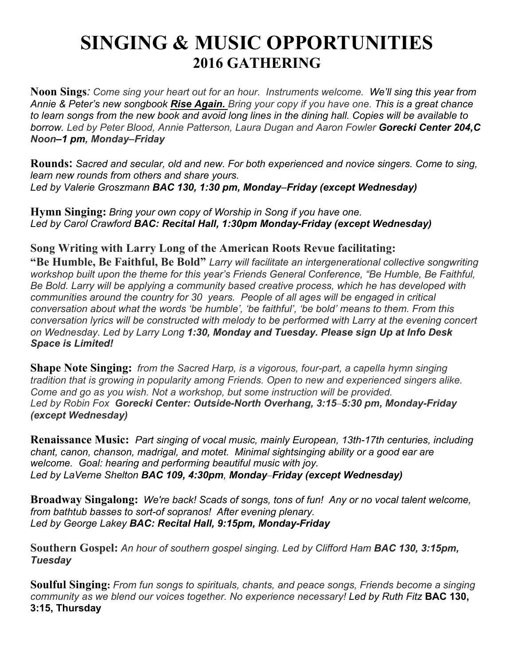## **SINGING & MUSIC OPPORTUNITIES 2016 GATHERING**

**Noon Sings***: Come sing your heart out for an hour. Instruments welcome. We'll sing this year from Annie & Peter's new songbook Rise Again. Bring your copy if you have one. This is a great chance to learn songs from the new book and avoid long lines in the dining hall. Copies will be available to borrow. Led by Peter Blood, Annie Patterson, Laura Dugan and Aaron Fowler Gorecki Center 204,C Noon–1 pm, Monday*–*Friday*

**Rounds:** *Sacred and secular, old and new. For both experienced and novice singers. Come to sing, learn new rounds from others and share yours. Led by Valerie Groszmann BAC 130, 1:30 pm, Monday*–*Friday (except Wednesday)*

**Hymn Singing:** *Bring your own copy of Worship in Song if you have one. Led by Carol Crawford BAC: Recital Hall, 1:30pm Monday-Friday (except Wednesday)*

## **Song Writing with Larry Long of the American Roots Revue facilitating:**

**"Be Humble, Be Faithful, Be Bold"** *Larry will facilitate an intergenerational collective songwriting workshop built upon the theme for this year's Friends General Conference, "Be Humble, Be Faithful, Be Bold. Larry will be applying a community based creative process, which he has developed with communities around the country for 30 years. People of all ages will be engaged in critical conversation about what the words 'be humble', 'be faithful', 'be bold' means to them. From this conversation lyrics will be constructed with melody to be performed with Larry at the evening concert on Wednesday. Led by Larry Long 1:30, Monday and Tuesday. Please sign Up at Info Desk Space is Limited!*

**Shape Note Singing:** *from the Sacred Harp, is a vigorous, four-part, a capella hymn singing tradition that is growing in popularity among Friends. Open to new and experienced singers alike. Come and go as you wish. Not a workshop, but some instruction will be provided. Led by Robin Fox Gorecki Center: Outside-North Overhang, 3:15*–*5:30 pm, Monday-Friday (except Wednesday)*

**Renaissance Music:** *Part singing of vocal music, mainly European, 13th-17th centuries, including chant, canon, chanson, madrigal, and motet. Minimal sightsinging ability or a good ear are welcome. Goal: hearing and performing beautiful music with joy. Led by LaVerne Shelton BAC 109, 4:30pm, Monday*–*Friday (except Wednesday)*

**Broadway Singalong:** *We're back! Scads of songs, tons of fun! Any or no vocal talent welcome, from bathtub basses to sort-of sopranos! After evening plenary. Led by George Lakey BAC: Recital Hall, 9:15pm, Monday-Friday* 

**Southern Gospel:** *An hour of southern gospel singing. Led by Clifford Ham BAC 130, 3:15pm, Tuesday*

**Soulful Singing:** *From fun songs to spirituals, chants, and peace songs, Friends become a singing community as we blend our voices together. No experience necessary! Led by Ruth Fitz* **BAC 130, 3:15, Thursday**